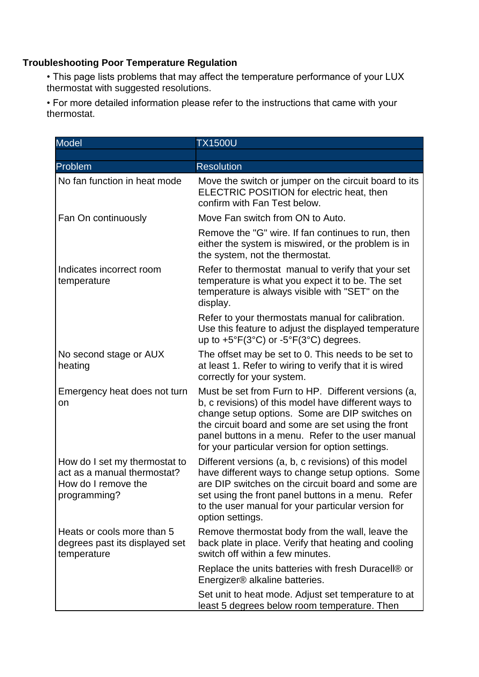## **Troubleshooting Poor Temperature Regulation**

• This page lists problems that may affect the temperature performance of your LUX thermostat with suggested resolutions.

• For more detailed information please refer to the instructions that came with your thermostat.

| <b>Model</b>                                                                                        | <b>TX1500U</b>                                                                                                                                                                                                                                                                                                               |
|-----------------------------------------------------------------------------------------------------|------------------------------------------------------------------------------------------------------------------------------------------------------------------------------------------------------------------------------------------------------------------------------------------------------------------------------|
|                                                                                                     |                                                                                                                                                                                                                                                                                                                              |
| Problem                                                                                             | <b>Resolution</b>                                                                                                                                                                                                                                                                                                            |
| No fan function in heat mode                                                                        | Move the switch or jumper on the circuit board to its<br>ELECTRIC POSITION for electric heat, then<br>confirm with Fan Test below.                                                                                                                                                                                           |
| Fan On continuously                                                                                 | Move Fan switch from ON to Auto.                                                                                                                                                                                                                                                                                             |
|                                                                                                     | Remove the "G" wire. If fan continues to run, then<br>either the system is miswired, or the problem is in<br>the system, not the thermostat.                                                                                                                                                                                 |
| Indicates incorrect room<br>temperature                                                             | Refer to thermostat manual to verify that your set<br>temperature is what you expect it to be. The set<br>temperature is always visible with "SET" on the<br>display.                                                                                                                                                        |
|                                                                                                     | Refer to your thermostats manual for calibration.<br>Use this feature to adjust the displayed temperature<br>up to $+5^{\circ}F(3^{\circ}C)$ or $-5^{\circ}F(3^{\circ}C)$ degrees.                                                                                                                                           |
| No second stage or AUX<br>heating                                                                   | The offset may be set to 0. This needs to be set to<br>at least 1. Refer to wiring to verify that it is wired<br>correctly for your system.                                                                                                                                                                                  |
| Emergency heat does not turn<br>on                                                                  | Must be set from Furn to HP. Different versions (a,<br>b, c revisions) of this model have different ways to<br>change setup options. Some are DIP switches on<br>the circuit board and some are set using the front<br>panel buttons in a menu. Refer to the user manual<br>for your particular version for option settings. |
| How do I set my thermostat to<br>act as a manual thermostat?<br>How do I remove the<br>programming? | Different versions (a, b, c revisions) of this model<br>have different ways to change setup options. Some<br>are DIP switches on the circuit board and some are<br>set using the front panel buttons in a menu. Refer<br>to the user manual for your particular version for<br>option settings.                              |
| Heats or cools more than 5<br>degrees past its displayed set<br>temperature                         | Remove thermostat body from the wall, leave the<br>back plate in place. Verify that heating and cooling<br>switch off within a few minutes.                                                                                                                                                                                  |
|                                                                                                     | Replace the units batteries with fresh Duracell® or<br>Energizer® alkaline batteries.                                                                                                                                                                                                                                        |
|                                                                                                     | Set unit to heat mode. Adjust set temperature to at<br>least 5 degrees below room temperature. Then                                                                                                                                                                                                                          |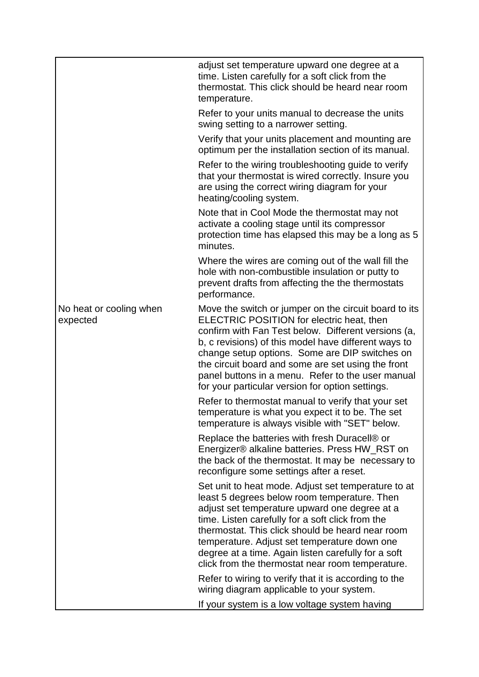| adjust set temperature upward one degree at a<br>time. Listen carefully for a soft click from the<br>thermostat. This click should be heard near room<br>temperature.                                                                                                                                                                                                                                                              |
|------------------------------------------------------------------------------------------------------------------------------------------------------------------------------------------------------------------------------------------------------------------------------------------------------------------------------------------------------------------------------------------------------------------------------------|
| Refer to your units manual to decrease the units<br>swing setting to a narrower setting.                                                                                                                                                                                                                                                                                                                                           |
| Verify that your units placement and mounting are<br>optimum per the installation section of its manual.                                                                                                                                                                                                                                                                                                                           |
| Refer to the wiring troubleshooting guide to verify<br>that your thermostat is wired correctly. Insure you<br>are using the correct wiring diagram for your<br>heating/cooling system.                                                                                                                                                                                                                                             |
| Note that in Cool Mode the thermostat may not<br>activate a cooling stage until its compressor<br>protection time has elapsed this may be a long as 5<br>minutes.                                                                                                                                                                                                                                                                  |
| Where the wires are coming out of the wall fill the<br>hole with non-combustible insulation or putty to<br>prevent drafts from affecting the the thermostats<br>performance.                                                                                                                                                                                                                                                       |
| Move the switch or jumper on the circuit board to its<br>ELECTRIC POSITION for electric heat, then<br>confirm with Fan Test below. Different versions (a,<br>b, c revisions) of this model have different ways to<br>change setup options. Some are DIP switches on<br>the circuit board and some are set using the front<br>panel buttons in a menu. Refer to the user manual<br>for your particular version for option settings. |
| Refer to thermostat manual to verify that your set<br>temperature is what you expect it to be. The set<br>temperature is always visible with "SET" below.                                                                                                                                                                                                                                                                          |
| Replace the batteries with fresh Duracell® or<br>Energizer® alkaline batteries. Press HW_RST on<br>the back of the thermostat. It may be necessary to<br>reconfigure some settings after a reset.                                                                                                                                                                                                                                  |
| Set unit to heat mode. Adjust set temperature to at<br>least 5 degrees below room temperature. Then<br>adjust set temperature upward one degree at a<br>time. Listen carefully for a soft click from the<br>thermostat. This click should be heard near room<br>temperature. Adjust set temperature down one<br>degree at a time. Again listen carefully for a soft<br>click from the thermostat near room temperature.            |
| Refer to wiring to verify that it is according to the<br>wiring diagram applicable to your system.<br>If your system is a low voltage system having                                                                                                                                                                                                                                                                                |
|                                                                                                                                                                                                                                                                                                                                                                                                                                    |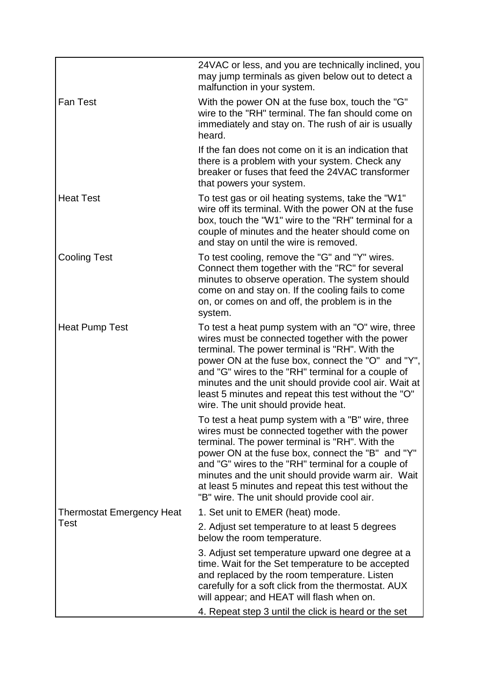|                                  | 24VAC or less, and you are technically inclined, you<br>may jump terminals as given below out to detect a<br>malfunction in your system.                                                                                                                                                                                                                                                                                      |
|----------------------------------|-------------------------------------------------------------------------------------------------------------------------------------------------------------------------------------------------------------------------------------------------------------------------------------------------------------------------------------------------------------------------------------------------------------------------------|
| <b>Fan Test</b>                  | With the power ON at the fuse box, touch the "G"<br>wire to the "RH" terminal. The fan should come on<br>immediately and stay on. The rush of air is usually<br>heard.                                                                                                                                                                                                                                                        |
|                                  | If the fan does not come on it is an indication that<br>there is a problem with your system. Check any<br>breaker or fuses that feed the 24VAC transformer<br>that powers your system.                                                                                                                                                                                                                                        |
| <b>Heat Test</b>                 | To test gas or oil heating systems, take the "W1"<br>wire off its terminal. With the power ON at the fuse<br>box, touch the "W1" wire to the "RH" terminal for a<br>couple of minutes and the heater should come on<br>and stay on until the wire is removed.                                                                                                                                                                 |
| <b>Cooling Test</b>              | To test cooling, remove the "G" and "Y" wires.<br>Connect them together with the "RC" for several<br>minutes to observe operation. The system should<br>come on and stay on. If the cooling fails to come<br>on, or comes on and off, the problem is in the<br>system.                                                                                                                                                        |
| <b>Heat Pump Test</b>            | To test a heat pump system with an "O" wire, three<br>wires must be connected together with the power<br>terminal. The power terminal is "RH". With the<br>power ON at the fuse box, connect the "O" and "Y",<br>and "G" wires to the "RH" terminal for a couple of<br>minutes and the unit should provide cool air. Wait at<br>least 5 minutes and repeat this test without the "O"<br>wire. The unit should provide heat.   |
|                                  | To test a heat pump system with a "B" wire, three<br>wires must be connected together with the power<br>terminal. The power terminal is "RH". With the<br>power ON at the fuse box, connect the "B" and "Y"<br>and "G" wires to the "RH" terminal for a couple of<br>minutes and the unit should provide warm air. Wait<br>at least 5 minutes and repeat this test without the<br>"B" wire. The unit should provide cool air. |
| <b>Thermostat Emergency Heat</b> | 1. Set unit to EMER (heat) mode.                                                                                                                                                                                                                                                                                                                                                                                              |
| Test                             | 2. Adjust set temperature to at least 5 degrees<br>below the room temperature.                                                                                                                                                                                                                                                                                                                                                |
|                                  | 3. Adjust set temperature upward one degree at a<br>time. Wait for the Set temperature to be accepted<br>and replaced by the room temperature. Listen<br>carefully for a soft click from the thermostat. AUX<br>will appear; and HEAT will flash when on.                                                                                                                                                                     |
|                                  | 4. Repeat step 3 until the click is heard or the set                                                                                                                                                                                                                                                                                                                                                                          |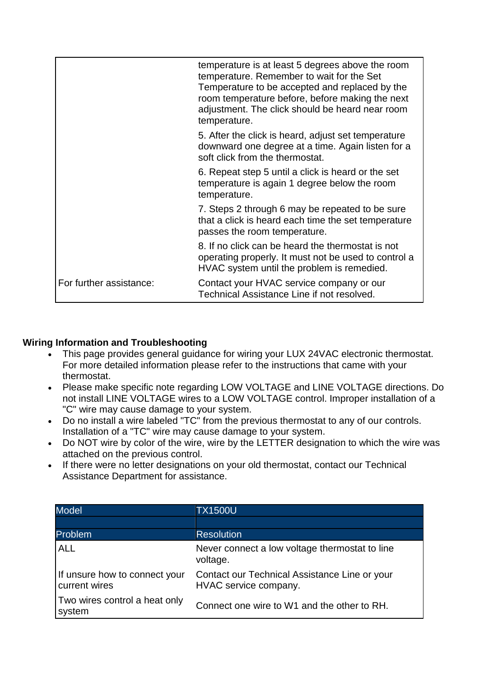|                         | temperature is at least 5 degrees above the room<br>temperature. Remember to wait for the Set<br>Temperature to be accepted and replaced by the<br>room temperature before, before making the next<br>adjustment. The click should be heard near room<br>temperature. |
|-------------------------|-----------------------------------------------------------------------------------------------------------------------------------------------------------------------------------------------------------------------------------------------------------------------|
|                         | 5. After the click is heard, adjust set temperature<br>downward one degree at a time. Again listen for a<br>soft click from the thermostat.                                                                                                                           |
|                         | 6. Repeat step 5 until a click is heard or the set<br>temperature is again 1 degree below the room<br>temperature.                                                                                                                                                    |
|                         | 7. Steps 2 through 6 may be repeated to be sure<br>that a click is heard each time the set temperature<br>passes the room temperature.                                                                                                                                |
|                         | 8. If no click can be heard the thermostat is not<br>operating properly. It must not be used to control a<br>HVAC system until the problem is remedied.                                                                                                               |
| For further assistance: | Contact your HVAC service company or our<br>Technical Assistance Line if not resolved.                                                                                                                                                                                |

## **Wiring Information and Troubleshooting**

- This page provides general guidance for wiring your LUX 24VAC electronic thermostat. For more detailed information please refer to the instructions that came with your thermostat.
- Please make specific note regarding LOW VOLTAGE and LINE VOLTAGE directions. Do not install LINE VOLTAGE wires to a LOW VOLTAGE control. Improper installation of a "C" wire may cause damage to your system.
- Do no install a wire labeled "TC" from the previous thermostat to any of our controls. Installation of a "TC" wire may cause damage to your system.
- Do NOT wire by color of the wire, wire by the LETTER designation to which the wire was attached on the previous control.
- If there were no letter designations on your old thermostat, contact our Technical Assistance Department for assistance.

| <b>Model</b>                                   | <b>TX1500U</b>                                                         |
|------------------------------------------------|------------------------------------------------------------------------|
|                                                |                                                                        |
| Problem                                        | <b>Resolution</b>                                                      |
| <b>ALL</b>                                     | Never connect a low voltage thermostat to line<br>voltage.             |
| If unsure how to connect your<br>current wires | Contact our Technical Assistance Line or your<br>HVAC service company. |
| Two wires control a heat only<br>system        | Connect one wire to W1 and the other to RH.                            |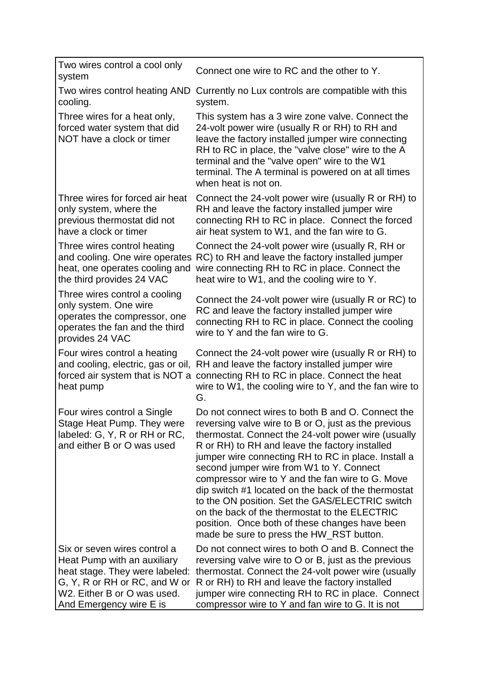| Two wires control a cool only<br>system                                                                                                                                                  | Connect one wire to RC and the other to Y.                                                                                                                                                                                                                                                                                                                                                                                                                                                                                                                                                                                         |
|------------------------------------------------------------------------------------------------------------------------------------------------------------------------------------------|------------------------------------------------------------------------------------------------------------------------------------------------------------------------------------------------------------------------------------------------------------------------------------------------------------------------------------------------------------------------------------------------------------------------------------------------------------------------------------------------------------------------------------------------------------------------------------------------------------------------------------|
| Two wires control heating AND<br>cooling.                                                                                                                                                | Currently no Lux controls are compatible with this<br>system.                                                                                                                                                                                                                                                                                                                                                                                                                                                                                                                                                                      |
| Three wires for a heat only,<br>forced water system that did<br>NOT have a clock or timer                                                                                                | This system has a 3 wire zone valve. Connect the<br>24-volt power wire (usually R or RH) to RH and<br>leave the factory installed jumper wire connecting<br>RH to RC in place, the "valve close" wire to the A<br>terminal and the "valve open" wire to the W1<br>terminal. The A terminal is powered on at all times<br>when heat is not on.                                                                                                                                                                                                                                                                                      |
| Three wires for forced air heat<br>only system, where the<br>previous thermostat did not<br>have a clock or timer                                                                        | Connect the 24-volt power wire (usually R or RH) to<br>RH and leave the factory installed jumper wire<br>connecting RH to RC in place. Connect the forced<br>air heat system to W1, and the fan wire to G.                                                                                                                                                                                                                                                                                                                                                                                                                         |
| Three wires control heating<br>and cooling. One wire operates<br>heat, one operates cooling and<br>the third provides 24 VAC                                                             | Connect the 24-volt power wire (usually R, RH or<br>RC) to RH and leave the factory installed jumper<br>wire connecting RH to RC in place. Connect the<br>heat wire to W1, and the cooling wire to Y.                                                                                                                                                                                                                                                                                                                                                                                                                              |
| Three wires control a cooling<br>only system. One wire<br>operates the compressor, one<br>operates the fan and the third<br>provides 24 VAC                                              | Connect the 24-volt power wire (usually R or RC) to<br>RC and leave the factory installed jumper wire<br>connecting RH to RC in place. Connect the cooling<br>wire to Y and the fan wire to G.                                                                                                                                                                                                                                                                                                                                                                                                                                     |
| Four wires control a heating<br>and cooling, electric, gas or oil,<br>forced air system that is NOT a<br>heat pump                                                                       | Connect the 24-volt power wire (usually R or RH) to<br>RH and leave the factory installed jumper wire<br>connecting RH to RC in place. Connect the heat<br>wire to W1, the cooling wire to Y, and the fan wire to<br>G.                                                                                                                                                                                                                                                                                                                                                                                                            |
| Four wires control a Single<br>Stage Heat Pump. They were<br>labeled: G, Y, R or RH or RC,<br>and either B or O was used                                                                 | Do not connect wires to both B and O. Connect the<br>reversing valve wire to B or O, just as the previous<br>thermostat. Connect the 24-volt power wire (usually<br>R or RH) to RH and leave the factory installed<br>jumper wire connecting RH to RC in place. Install a<br>second jumper wire from W1 to Y. Connect<br>compressor wire to Y and the fan wire to G. Move<br>dip switch #1 located on the back of the thermostat<br>to the ON position. Set the GAS/ELECTRIC switch<br>on the back of the thermostat to the ELECTRIC<br>position. Once both of these changes have been<br>made be sure to press the HW_RST button. |
| Six or seven wires control a<br>Heat Pump with an auxiliary<br>heat stage. They were labeled:<br>G, Y, R or RH or RC, and W or<br>W2. Either B or O was used.<br>And Emergency wire E is | Do not connect wires to both O and B. Connect the<br>reversing valve wire to O or B, just as the previous<br>thermostat. Connect the 24-volt power wire (usually<br>R or RH) to RH and leave the factory installed<br>jumper wire connecting RH to RC in place. Connect<br>compressor wire to Y and fan wire to G. It is not                                                                                                                                                                                                                                                                                                       |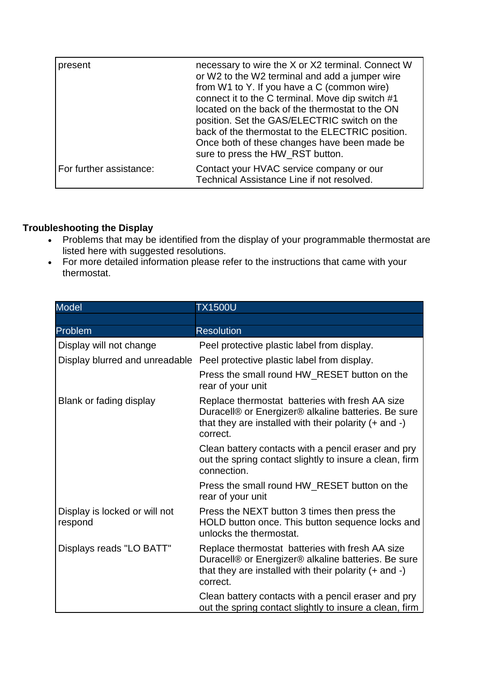| present                 | necessary to wire the X or X2 terminal. Connect W<br>or W2 to the W2 terminal and add a jumper wire<br>from W1 to Y. If you have a C (common wire)<br>connect it to the C terminal. Move dip switch #1<br>located on the back of the thermostat to the ON<br>position. Set the GAS/ELECTRIC switch on the<br>back of the thermostat to the ELECTRIC position.<br>Once both of these changes have been made be<br>sure to press the HW_RST button. |
|-------------------------|---------------------------------------------------------------------------------------------------------------------------------------------------------------------------------------------------------------------------------------------------------------------------------------------------------------------------------------------------------------------------------------------------------------------------------------------------|
| For further assistance: | Contact your HVAC service company or our<br>Technical Assistance Line if not resolved.                                                                                                                                                                                                                                                                                                                                                            |

## **Troubleshooting the Display**

- Problems that may be identified from the display of your programmable thermostat are listed here with suggested resolutions.
- For more detailed information please refer to the instructions that came with your thermostat.

| <b>Model</b>                             | <b>TX1500U</b>                                                                                                                                                                   |
|------------------------------------------|----------------------------------------------------------------------------------------------------------------------------------------------------------------------------------|
|                                          |                                                                                                                                                                                  |
| Problem                                  | <b>Resolution</b>                                                                                                                                                                |
| Display will not change                  | Peel protective plastic label from display.                                                                                                                                      |
| Display blurred and unreadable           | Peel protective plastic label from display.                                                                                                                                      |
|                                          | Press the small round HW_RESET button on the<br>rear of your unit                                                                                                                |
| Blank or fading display                  | Replace thermostat batteries with fresh AA size<br>Duracell® or Energizer® alkaline batteries. Be sure<br>that they are installed with their polarity $(+)$ and $-)$<br>correct. |
|                                          | Clean battery contacts with a pencil eraser and pry<br>out the spring contact slightly to insure a clean, firm<br>connection.                                                    |
|                                          | Press the small round HW_RESET button on the<br>rear of your unit                                                                                                                |
| Display is locked or will not<br>respond | Press the NEXT button 3 times then press the<br>HOLD button once. This button sequence locks and<br>unlocks the thermostat.                                                      |
| Displays reads "LO BATT"                 | Replace thermostat batteries with fresh AA size<br>Duracell® or Energizer® alkaline batteries. Be sure<br>that they are installed with their polarity $(+)$ and $-)$<br>correct. |
|                                          | Clean battery contacts with a pencil eraser and pry<br>out the spring contact slightly to insure a clean, firm                                                                   |